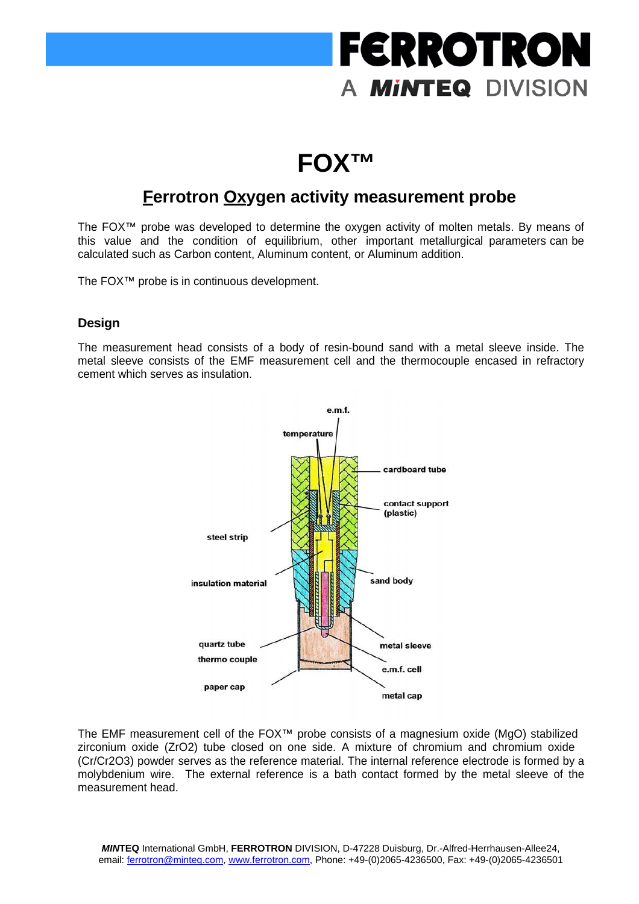## **FERROTRON** A **MINTEQ** DIVISION

### **FOX™**

### **Ferrotron Oxygen activity measurement probe**

The FOX™ probe was developed to determine the oxygen activity of molten metals. By means of this value and the condition of equilibrium, other important metallurgical parameters can be calculated such as Carbon content, Aluminum content, or Aluminum addition.

The FOX™ probe is in continuous development.

#### **Design**

The measurement head consists of a body of resin-bound sand with a metal sleeve inside. The metal sleeve consists of the EMF measurement cell and the thermocouple encased in refractory cement which serves as insulation.



The EMF measurement cell of the FOX™ probe consists of a magnesium oxide (MgO) stabilized zirconium oxide (ZrO2) tube closed on one side. A mixture of chromium and chromium oxide (Cr/Cr2O3) powder serves as the reference material. The internal reference electrode is formed by a molybdenium wire. The external reference is a bath contact formed by the metal sleeve of the measurement head.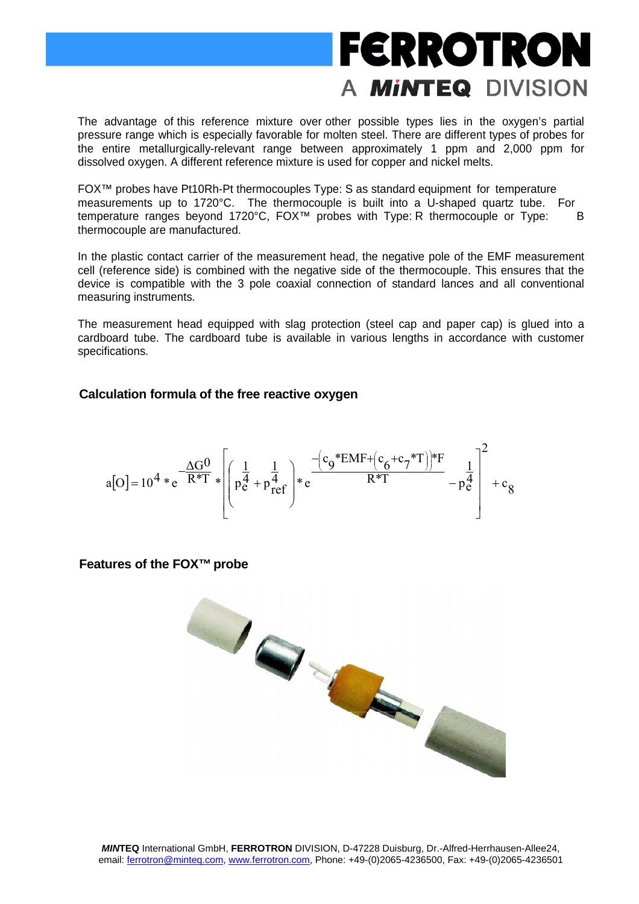### **FERROTRON** A **MINTEQ** DIVISION

The advantage of this reference mixture over other possible types lies in the oxygen's partial pressure range which is especially favorable for molten steel. There are different types of probes for the entire metallurgically-relevant range between approximately 1 ppm and 2,000 ppm for dissolved oxygen. A different reference mixture is used for copper and nickel melts.

FOX™ probes have Pt10Rh-Pt thermocouples Type: S as standard equipment for temperature measurements up to 1720°C. The thermocouple is built into a U-shaped quartz tube. For temperature ranges beyond 1720°C, FOX<sup>™</sup> probes with Type: R thermocouple or Type: B thermocouple are manufactured.

In the plastic contact carrier of the measurement head, the negative pole of the EMF measurement cell (reference side) is combined with the negative side of the thermocouple. This ensures that the device is compatible with the 3 pole coaxial connection of standard lances and all conventional measuring instruments.

The measurement head equipped with slag protection (steel cap and paper cap) is glued into a cardboard tube. The cardboard tube is available in various lengths in accordance with customer specifications.

#### **Calculation formula of the free reactive oxygen**

$$
a[O] = 10^4 * e^{-\frac{\Delta G^0}{R^*T}} * \left[ \left( p_{e}^{\frac{1}{4}} + p_{ref}^{\frac{1}{4}} \right) * e^{-\frac{\left( c_9 * EMF + \left( c_6 + c_7 * T \right) \right) * F}{R^*T}} - p_{e}^{\frac{1}{4}} \right]^{2} + c_8
$$

#### **Features of the FOX™probe**